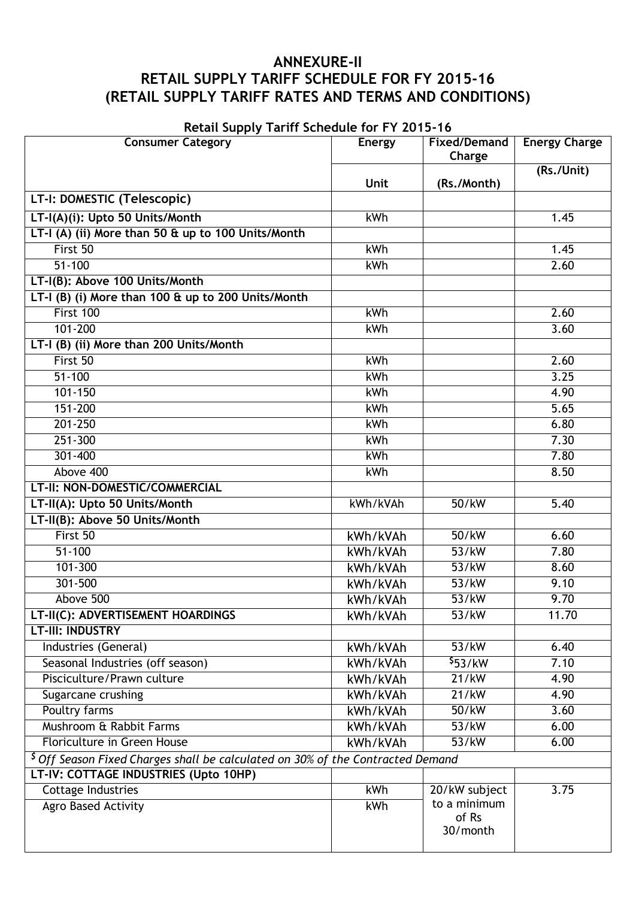# **ANNEXURE-II RETAIL SUPPLY TARIFF SCHEDULE FOR FY 2015-16 (RETAIL SUPPLY TARIFF RATES AND TERMS AND CONDITIONS)**

**Retail Supply Tariff Schedule for FY 2015-16**

| Retail Supply Tailli Scriedule for FT 2015-10<br><b>Consumer Category</b>                  | <b>Energy</b> | <b>Fixed/Demand</b> | <b>Energy Charge</b> |  |
|--------------------------------------------------------------------------------------------|---------------|---------------------|----------------------|--|
|                                                                                            |               | Charge              |                      |  |
|                                                                                            |               |                     | (Rs./Unit)           |  |
|                                                                                            | <b>Unit</b>   | (Rs./Month)         |                      |  |
| LT-I: DOMESTIC (Telescopic)                                                                |               |                     |                      |  |
| LT-I(A)(i): Upto 50 Units/Month                                                            | kWh           |                     | 1.45                 |  |
| LT-I (A) (ii) More than 50 & up to 100 Units/Month                                         |               |                     |                      |  |
| First 50                                                                                   | kWh           |                     | 1.45                 |  |
| $51 - 100$                                                                                 | kWh           |                     | 2.60                 |  |
| LT-I(B): Above 100 Units/Month                                                             |               |                     |                      |  |
| LT-I (B) (i) More than 100 & up to 200 Units/Month                                         |               |                     |                      |  |
| First 100                                                                                  | kWh           |                     | 2.60                 |  |
| $101 - 200$                                                                                | kWh           |                     | 3.60                 |  |
| LT-I (B) (ii) More than 200 Units/Month                                                    |               |                     |                      |  |
| First 50                                                                                   | kWh           |                     | 2.60                 |  |
| $51 - 100$                                                                                 | kWh           |                     | 3.25                 |  |
| $101 - 150$                                                                                | kWh           |                     | 4.90                 |  |
| 151-200                                                                                    | <b>kWh</b>    |                     | 5.65                 |  |
| $201 - 250$                                                                                | <b>kWh</b>    |                     | 6.80                 |  |
| $251 - 300$                                                                                | kWh           |                     | 7.30                 |  |
| 301-400                                                                                    | kWh           |                     | 7.80                 |  |
| Above 400                                                                                  | <b>kWh</b>    |                     | 8.50                 |  |
| LT-II: NON-DOMESTIC/COMMERCIAL                                                             |               |                     |                      |  |
| LT-II(A): Upto 50 Units/Month                                                              | kWh/kVAh      | 50/kW               | 5.40                 |  |
| LT-II(B): Above 50 Units/Month                                                             |               |                     |                      |  |
| First 50                                                                                   | kWh/kVAh      | 50/kW               | 6.60                 |  |
| $51 - 100$                                                                                 | kWh/kVAh      | 53/kW               | 7.80                 |  |
| $101 - 300$                                                                                | kWh/kVAh      | 53/kW               | 8.60                 |  |
| $301 - 500$                                                                                | kWh/kVAh      | 53/kW               | 9.10                 |  |
| Above 500                                                                                  | kWh/kVAh      | 53/kW               | 9.70                 |  |
| LT-II(C): ADVERTISEMENT HOARDINGS                                                          | kWh/kVAh      | 53/kW               | 11.70                |  |
| <b>LT-III: INDUSTRY</b>                                                                    |               |                     |                      |  |
| Industries (General)                                                                       | kWh/kVAh      | 53/kW               | 6.40                 |  |
| Seasonal Industries (off season)                                                           | kWh/kVAh      | \$53/kW             | 7.10                 |  |
| Pisciculture/Prawn culture                                                                 | kWh/kVAh      | 21/kW               | 4.90                 |  |
| Sugarcane crushing                                                                         | kWh/kVAh      | 21/kW               | 4.90                 |  |
| Poultry farms                                                                              | kWh/kVAh      | 50/kW               | 3.60                 |  |
| Mushroom & Rabbit Farms                                                                    | kWh/kVAh      | 53/kW               | 6.00                 |  |
| Floriculture in Green House                                                                | kWh/kVAh      | 53/kW               | 6.00                 |  |
| <sup>\$</sup> Off Season Fixed Charges shall be calculated on 30% of the Contracted Demand |               |                     |                      |  |
| LT-IV: COTTAGE INDUSTRIES (Upto 10HP)                                                      |               |                     |                      |  |
| <b>Cottage Industries</b>                                                                  | kWh           | 20/kW subject       | 3.75                 |  |
| Agro Based Activity                                                                        | kWh           | to a minimum        |                      |  |
|                                                                                            |               | of Rs               |                      |  |
|                                                                                            |               | 30/month            |                      |  |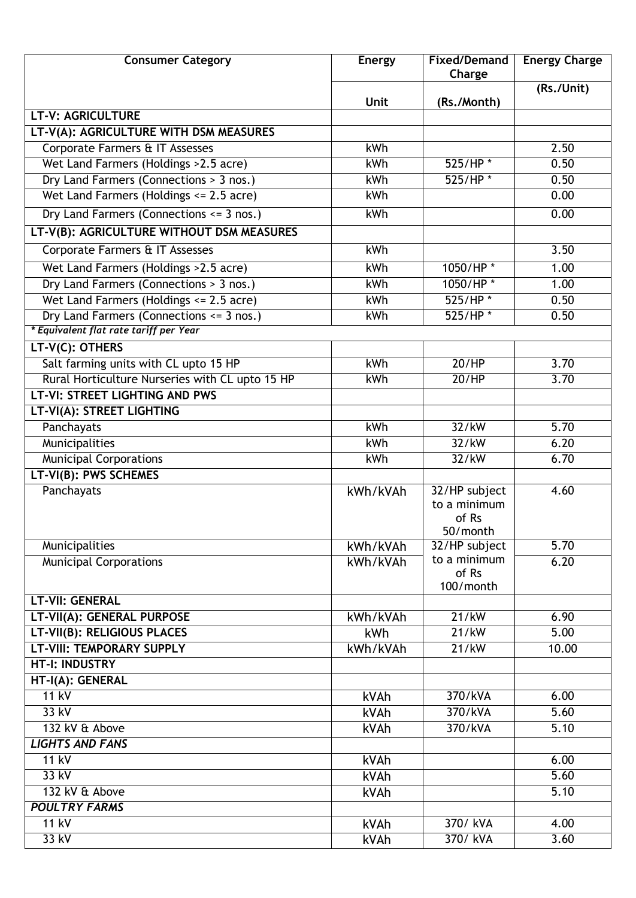| <b>Consumer Category</b>                        | Energy      | <b>Fixed/Demand</b><br>Charge                      | <b>Energy Charge</b> |
|-------------------------------------------------|-------------|----------------------------------------------------|----------------------|
|                                                 | <b>Unit</b> | (Rs./Month)                                        | (Rs./Unit)           |
| <b>LT-V: AGRICULTURE</b>                        |             |                                                    |                      |
| LT-V(A): AGRICULTURE WITH DSM MEASURES          |             |                                                    |                      |
| Corporate Farmers & IT Assesses                 | kWh         |                                                    | 2.50                 |
| Wet Land Farmers (Holdings > 2.5 acre)          | kWh         | $525/HP$ *                                         | 0.50                 |
| Dry Land Farmers (Connections > 3 nos.)         | kWh         | $525/HP$ *                                         | 0.50                 |
| Wet Land Farmers (Holdings <= 2.5 acre)         | kWh         |                                                    | 0.00                 |
| Dry Land Farmers (Connections <= 3 nos.)        | kWh         |                                                    | 0.00                 |
| LT-V(B): AGRICULTURE WITHOUT DSM MEASURES       |             |                                                    |                      |
| Corporate Farmers & IT Assesses                 | kWh         |                                                    | 3.50                 |
| Wet Land Farmers (Holdings > 2.5 acre)          | kWh         | 1050/HP*                                           | 1.00                 |
| Dry Land Farmers (Connections > 3 nos.)         | kWh         | 1050/HP*                                           | 1.00                 |
| Wet Land Farmers (Holdings <= 2.5 acre)         | <b>kWh</b>  | $525/HP$ *                                         | 0.50                 |
| Dry Land Farmers (Connections <= 3 nos.)        | kWh         | $525/HP$ *                                         | 0.50                 |
| * Equivalent flat rate tariff per Year          |             |                                                    |                      |
| LT-V(C): OTHERS                                 |             |                                                    |                      |
| Salt farming units with CL upto 15 HP           | <b>kWh</b>  | 20/HP                                              | 3.70                 |
| Rural Horticulture Nurseries with CL upto 15 HP | <b>kWh</b>  | 20/HP                                              | 3.70                 |
| LT-VI: STREET LIGHTING AND PWS                  |             |                                                    |                      |
| LT-VI(A): STREET LIGHTING                       |             |                                                    |                      |
| Panchayats                                      | <b>kWh</b>  | 32/kW                                              | 5.70                 |
| Municipalities                                  | kWh         | 32/kW                                              | 6.20                 |
| <b>Municipal Corporations</b>                   | kWh         | 32/kW                                              | 6.70                 |
| <b>LT-VI(B): PWS SCHEMES</b>                    |             |                                                    |                      |
| Panchayats                                      | kWh/kVAh    | 32/HP subject<br>to a minimum<br>of Rs<br>50/month | 4.60                 |
| Municipalities                                  | kWh/kVAh    | 32/HP subject                                      | 5.70                 |
| <b>Municipal Corporations</b>                   | kWh/kVAh    | to a minimum<br>of Rs<br>100/month                 | 6.20                 |
| <b>LT-VII: GENERAL</b>                          |             |                                                    |                      |
| LT-VII(A): GENERAL PURPOSE                      | kWh/kVAh    | 21/kW                                              | 6.90                 |
| <b>LT-VII(B): RELIGIOUS PLACES</b>              | kWh         | 21/kW                                              | 5.00                 |
| <b>LT-VIII: TEMPORARY SUPPLY</b>                | kWh/kVAh    | 21/kW                                              | 10.00                |
| <b>HT-I: INDUSTRY</b>                           |             |                                                    |                      |
| HT-I(A): GENERAL                                |             |                                                    |                      |
| 11 kV                                           | kVAh        | 370/kVA                                            | 6.00                 |
| 33 kV                                           | kVAh        | 370/kVA                                            | 5.60                 |
| 132 kV & Above                                  | kVAh        | 370/kVA                                            | 5.10                 |
| <b>LIGHTS AND FANS</b>                          |             |                                                    |                      |
| $11$ kV                                         | kVAh        |                                                    | 6.00                 |
| 33 kV                                           | kVAh        |                                                    | 5.60                 |
| 132 kV & Above<br><b>POULTRY FARMS</b>          | kVAh        |                                                    | $\overline{5.10}$    |
| 11 kV                                           | kVAh        | 370/ kVA                                           | 4.00                 |
| 33 kV                                           |             | 370/ kVA                                           | 3.60                 |
|                                                 | kVAh        |                                                    |                      |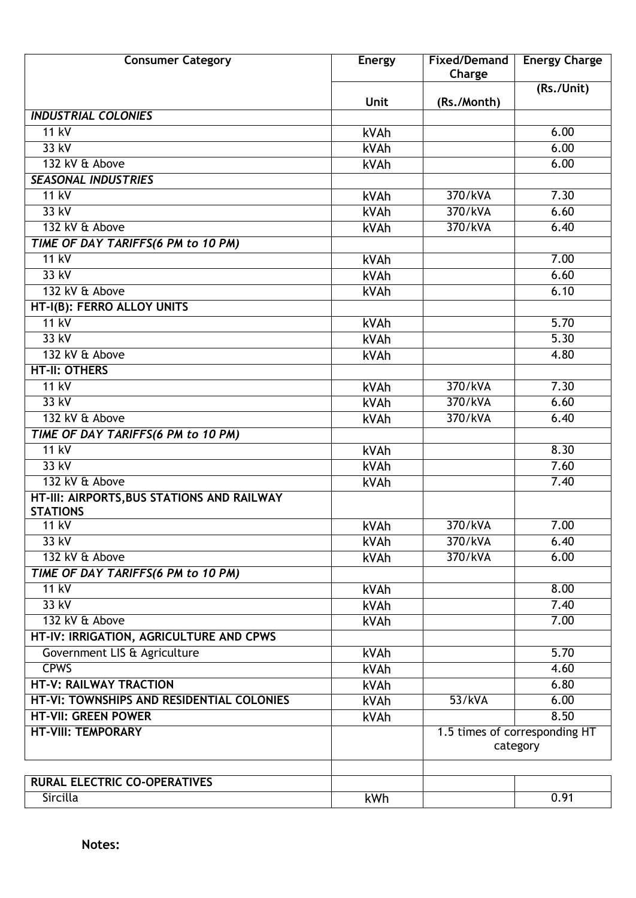| <b>Consumer Category</b>                                      | Energy      | <b>Fixed/Demand</b><br>Charge             | <b>Energy Charge</b> |
|---------------------------------------------------------------|-------------|-------------------------------------------|----------------------|
|                                                               | <b>Unit</b> | (Rs./Month)                               | (Rs./Unit)           |
| <b>INDUSTRIAL COLONIES</b>                                    |             |                                           |                      |
| $11$ kV                                                       | kVAh        |                                           | 6.00                 |
| 33 kV                                                         | kVAh        |                                           | 6.00                 |
| 132 kV & Above                                                | kVAh        |                                           | 6.00                 |
| <b>SEASONAL INDUSTRIES</b>                                    |             |                                           |                      |
| $11$ kV                                                       | kVAh        | 370/kVA                                   | 7.30                 |
| 33 kV                                                         | kVAh        | 370/kVA                                   | 6.60                 |
| 132 kV & Above                                                | kVAh        | 370/kVA                                   | 6.40                 |
| TIME OF DAY TARIFFS(6 PM to 10 PM)                            |             |                                           |                      |
| $11$ kV                                                       | kVAh        |                                           | 7.00                 |
| $33$ kV                                                       | kVAh        |                                           | 6.60                 |
| 132 kV & Above                                                | kVAh        |                                           | 6.10                 |
| HT-I(B): FERRO ALLOY UNITS                                    |             |                                           |                      |
| $11$ kV                                                       | kVAh        |                                           | 5.70                 |
| $33$ kV                                                       | kVAh        |                                           | 5.30                 |
| 132 kV & Above                                                | kVAh        |                                           | 4.80                 |
| <b>HT-II: OTHERS</b>                                          |             |                                           |                      |
| $11$ kV                                                       | kVAh        | 370/kVA                                   | 7.30                 |
| $33$ kV                                                       | kVAh        | 370/kVA                                   | 6.60                 |
| 132 kV & Above                                                | kVAh        | 370/kVA                                   | 6.40                 |
| TIME OF DAY TARIFFS(6 PM to 10 PM)                            |             |                                           |                      |
| 11 kV                                                         | kVAh        |                                           | 8.30                 |
| $33$ kV                                                       | kVAh        |                                           | 7.60                 |
| 132 kV & Above                                                | kVAh        |                                           | 7.40                 |
| HT-III: AIRPORTS, BUS STATIONS AND RAILWAY<br><b>STATIONS</b> |             |                                           |                      |
| 11 kV                                                         | kVAh        | 370/kVA                                   | 7.00                 |
| 33 kV                                                         | kVAh        | 370/kVA                                   | 6.40                 |
| 132 kV & Above                                                | kVAh        | 370/kVA                                   | 6.00                 |
| TIME OF DAY TARIFFS(6 PM to 10 PM)                            |             |                                           |                      |
| $11$ kV                                                       | kVAh        |                                           | 8.00                 |
| 33 kV                                                         | kVAh        |                                           | 7.40                 |
| 132 kV & Above                                                | kVAh        |                                           | 7.00                 |
| HT-IV: IRRIGATION, AGRICULTURE AND CPWS                       |             |                                           |                      |
| Government LIS & Agriculture                                  | kVAh        |                                           | 5.70                 |
| <b>CPWS</b>                                                   | kVAh        |                                           | 4.60                 |
| HT-V: RAILWAY TRACTION                                        | kVAh        |                                           | 6.80                 |
| HT-VI: TOWNSHIPS AND RESIDENTIAL COLONIES                     | kVAh        | 53/kVA                                    | 6.00                 |
| <b>HT-VII: GREEN POWER</b>                                    | kVAh        |                                           | 8.50                 |
| <b>HT-VIII: TEMPORARY</b>                                     |             | 1.5 times of corresponding HT<br>category |                      |
| <b>RURAL ELECTRIC CO-OPERATIVES</b>                           |             |                                           |                      |
| Sircilla                                                      | kWh         |                                           | 0.91                 |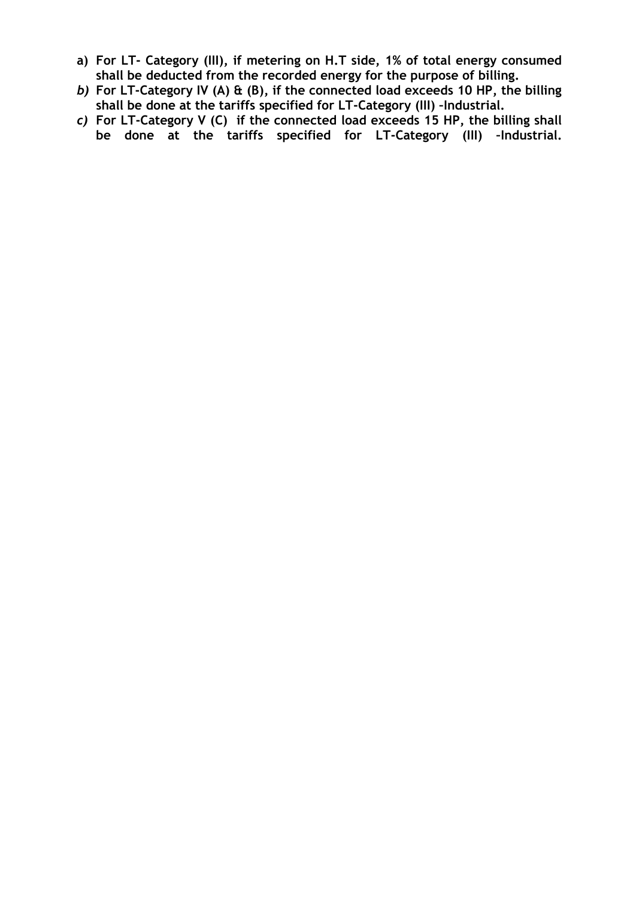- **a) For LT- Category (III), if metering on H.T side, 1% of total energy consumed shall be deducted from the recorded energy for the purpose of billing.**
- *b)* **For LT-Category IV (A) & (B), if the connected load exceeds 10 HP, the billing shall be done at the tariffs specified for LT-Category (III) –Industrial.**
- *c)* **For LT-Category V (C) if the connected load exceeds 15 HP, the billing shall be done at the tariffs specified for LT-Category (III) –Industrial.**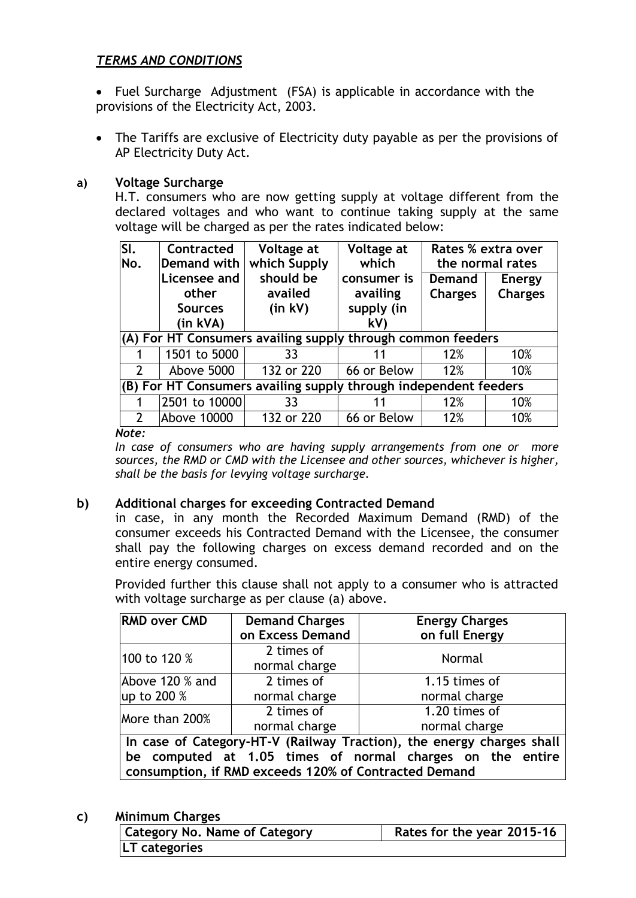## *TERMS AND CONDITIONS*

 Fuel Surcharge Adjustment (FSA) is applicable in accordance with the provisions of the Electricity Act, 2003.

• The Tariffs are exclusive of Electricity duty payable as per the provisions of AP Electricity Duty Act.

#### **a) Voltage Surcharge**

H.T. consumers who are now getting supply at voltage different from the declared voltages and who want to continue taking supply at the same voltage will be charged as per the rates indicated below:

| SI.            | Contracted                                                       | Voltage at   | Voltage at  |                | Rates % extra over |
|----------------|------------------------------------------------------------------|--------------|-------------|----------------|--------------------|
| No.            | Demand with                                                      | which Supply | which       |                | the normal rates   |
|                | Licensee and                                                     | should be    | consumer is | <b>Demand</b>  | <b>Energy</b>      |
|                | other                                                            | availed      | availing    | <b>Charges</b> | <b>Charges</b>     |
|                | <b>Sources</b>                                                   | $(in$ kV $)$ | supply (in  |                |                    |
|                | (in kVA)                                                         |              | kV)         |                |                    |
|                | (A) For HT Consumers availing supply through common feeders      |              |             |                |                    |
|                | 1501 to 5000                                                     | 33           |             | 12%            | 10%                |
| $\overline{2}$ | Above 5000                                                       | 132 or 220   | 66 or Below | 12%            | 10%                |
|                | (B) For HT Consumers availing supply through independent feeders |              |             |                |                    |
|                | 2501 to 10000                                                    | 33           |             | 12%            | 10%                |
| $\mathcal{P}$  | <b>Above 10000</b>                                               | 132 or 220   | 66 or Below | 12%            | 10%                |

*Note:* 

*In case of consumers who are having supply arrangements from one or more sources, the RMD or CMD with the Licensee and other sources, whichever is higher, shall be the basis for levying voltage surcharge.*

#### **b) Additional charges for exceeding Contracted Demand**

in case, in any month the Recorded Maximum Demand (RMD) of the consumer exceeds his Contracted Demand with the Licensee, the consumer shall pay the following charges on excess demand recorded and on the entire energy consumed.

Provided further this clause shall not apply to a consumer who is attracted with voltage surcharge as per clause (a) above.

| <b>RMD over CMD</b>                                                   | <b>Demand Charges</b>                                 | <b>Energy Charges</b> |  |  |
|-----------------------------------------------------------------------|-------------------------------------------------------|-----------------------|--|--|
|                                                                       | on Excess Demand                                      | on full Energy        |  |  |
| 100 to 120 %                                                          | 2 times of                                            | Normal                |  |  |
|                                                                       | normal charge                                         |                       |  |  |
| Above 120 % and                                                       | 2 times of                                            | 1.15 times of         |  |  |
| up to 200 %                                                           | normal charge                                         | normal charge         |  |  |
| More than 200%                                                        | 2 times of                                            | 1.20 times of         |  |  |
|                                                                       | normal charge                                         | normal charge         |  |  |
| In case of Category-HT-V (Railway Traction), the energy charges shall |                                                       |                       |  |  |
| be computed at 1.05 times of normal charges on the entire             |                                                       |                       |  |  |
|                                                                       | consumption, if RMD exceeds 120% of Contracted Demand |                       |  |  |

**c) Minimum Charges**

| <b>Category No. Name of Category</b> | Rates for the year 2015-16 |
|--------------------------------------|----------------------------|
| LT categories                        |                            |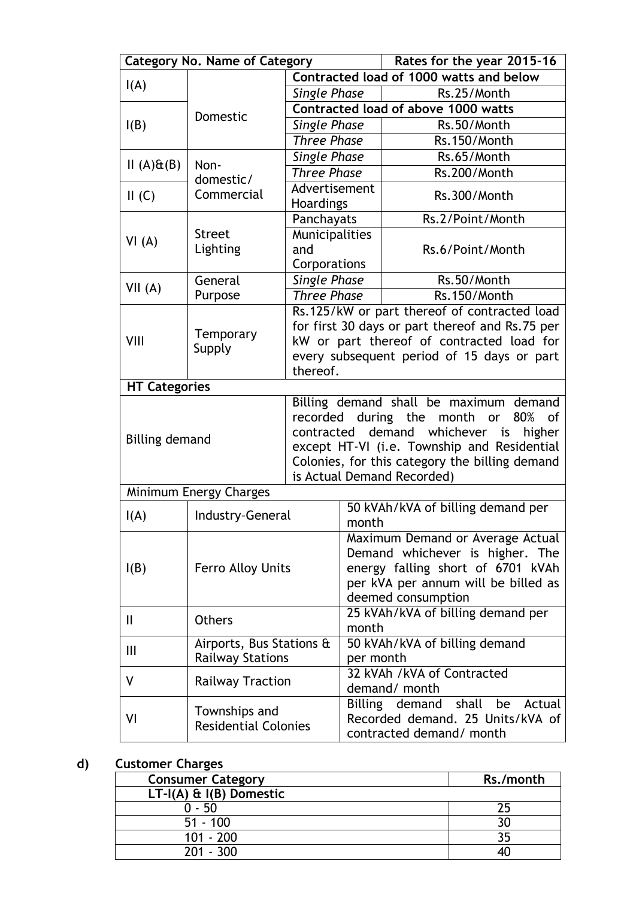| <b>Category No. Name of Category</b> |                             |                                                | Rates for the year 2015-16                                          |                                                              |  |
|--------------------------------------|-----------------------------|------------------------------------------------|---------------------------------------------------------------------|--------------------------------------------------------------|--|
|                                      |                             |                                                | Contracted load of 1000 watts and below                             |                                                              |  |
| I(A)                                 |                             | <b>Single Phase</b>                            |                                                                     | Rs.25/Month                                                  |  |
| Domestic                             |                             | Contracted load of above 1000 watts            |                                                                     |                                                              |  |
| I(B)                                 |                             | <b>Single Phase</b>                            |                                                                     | Rs.50/Month                                                  |  |
|                                      |                             | <b>Three Phase</b>                             |                                                                     | Rs.150/Month                                                 |  |
| $II(A) \mathsf{E}(B)$                | Non-                        | <b>Single Phase</b>                            |                                                                     | Rs.65/Month                                                  |  |
|                                      | domestic/                   | <b>Three Phase</b>                             |                                                                     | Rs.200/Month                                                 |  |
| II(G)                                | Commercial                  | Advertisement                                  |                                                                     | Rs.300/Month                                                 |  |
|                                      |                             | <b>Hoardings</b>                               |                                                                     |                                                              |  |
|                                      |                             | Panchayats                                     |                                                                     | Rs.2/Point/Month                                             |  |
| VI(A)                                | <b>Street</b>               | Municipalities                                 |                                                                     |                                                              |  |
|                                      | Lighting                    | and                                            |                                                                     | Rs.6/Point/Month                                             |  |
|                                      |                             | Corporations                                   |                                                                     | Rs.50/Month                                                  |  |
| VII(A)                               | General                     | <b>Single Phase</b><br><b>Three Phase</b>      |                                                                     |                                                              |  |
|                                      | Purpose                     |                                                |                                                                     | Rs.150/Month<br>Rs.125/kW or part thereof of contracted load |  |
|                                      |                             |                                                |                                                                     | for first 30 days or part thereof and Rs.75 per              |  |
| VIII                                 | Temporary                   |                                                |                                                                     | kW or part thereof of contracted load for                    |  |
|                                      | Supply                      |                                                |                                                                     | every subsequent period of 15 days or part                   |  |
|                                      |                             | thereof.                                       |                                                                     |                                                              |  |
| <b>HT Categories</b>                 |                             |                                                |                                                                     |                                                              |  |
|                                      |                             |                                                |                                                                     | Billing demand shall be maximum demand                       |  |
|                                      |                             |                                                |                                                                     | recorded during the month<br>80%<br><b>or</b><br>0f          |  |
| <b>Billing demand</b>                |                             |                                                | demand whichever is<br>higher<br>contracted                         |                                                              |  |
|                                      |                             | except HT-VI (i.e. Township and Residential    |                                                                     |                                                              |  |
|                                      |                             | Colonies, for this category the billing demand |                                                                     |                                                              |  |
|                                      |                             |                                                |                                                                     | is Actual Demand Recorded)                                   |  |
|                                      | Minimum Energy Charges      |                                                |                                                                     |                                                              |  |
| I(A)                                 | Industry-General            |                                                | month                                                               | 50 kVAh/kVA of billing demand per                            |  |
|                                      |                             |                                                |                                                                     |                                                              |  |
|                                      |                             |                                                | Maximum Demand or Average Actual<br>Demand whichever is higher. The |                                                              |  |
| I(B)                                 | <b>Ferro Alloy Units</b>    |                                                | energy falling short of 6701 kVAh                                   |                                                              |  |
|                                      |                             |                                                | per kVA per annum will be billed as                                 |                                                              |  |
|                                      |                             |                                                | deemed consumption                                                  |                                                              |  |
|                                      |                             |                                                | 25 kVAh/kVA of billing demand per                                   |                                                              |  |
| Ш                                    | <b>Others</b>               |                                                | month                                                               |                                                              |  |
| Ш                                    | Airports, Bus Stations &    |                                                |                                                                     | 50 kVAh/kVA of billing demand                                |  |
|                                      | <b>Railway Stations</b>     |                                                | per month                                                           |                                                              |  |
| ۷                                    | <b>Railway Traction</b>     |                                                |                                                                     | 32 kVAh /kVA of Contracted                                   |  |
|                                      |                             |                                                |                                                                     | demand/ month                                                |  |
|                                      | Townships and               |                                                |                                                                     | Billing demand shall be<br>Actual                            |  |
| VI                                   | <b>Residential Colonies</b> |                                                |                                                                     | Recorded demand. 25 Units/kVA of                             |  |
|                                      |                             |                                                |                                                                     | contracted demand/ month                                     |  |

# **d) Customer Charges**

| <b>Consumer Category</b>    | Rs./month |
|-----------------------------|-----------|
| $LT-I(A)$ & $I(B)$ Domestic |           |
| 0 - 50                      |           |
| $51 - 100$                  |           |
| $101 - 200$                 |           |
| $201 - 300$                 |           |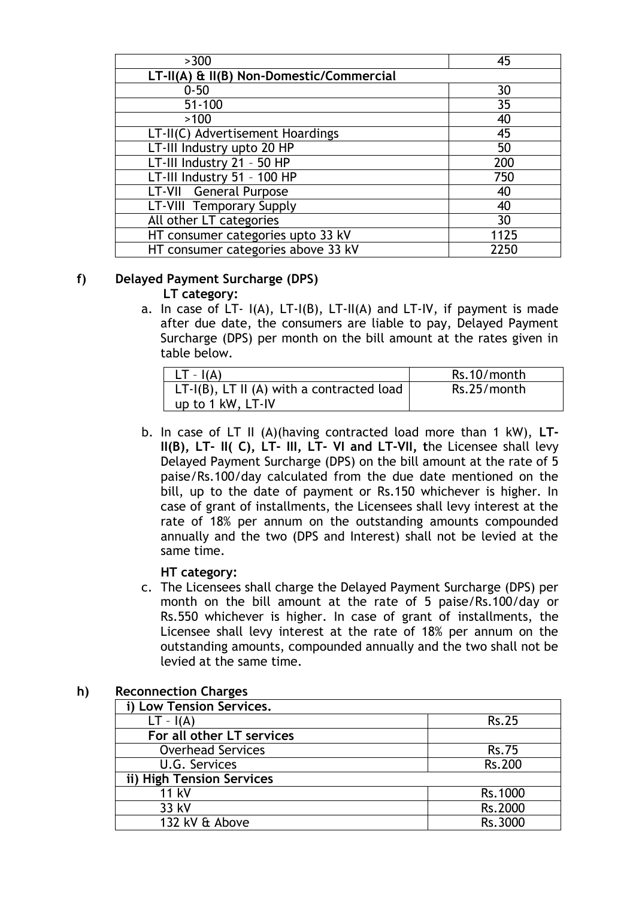| >300                                     | 45   |
|------------------------------------------|------|
| LT-II(A) & II(B) Non-Domestic/Commercial |      |
| $0 - 50$                                 | 30   |
| $51 - 100$                               | 35   |
| >100                                     | 40   |
| LT-II(C) Advertisement Hoardings         | 45   |
| LT-III Industry upto 20 HP               | 50   |
| LT-III Industry 21 - 50 HP               | 200  |
| LT-III Industry 51 - 100 HP              | 750  |
| LT-VII General Purpose                   | 40   |
| LT-VIII Temporary Supply                 | 40   |
| All other LT categories                  | 30   |
| HT consumer categories upto 33 kV        | 1125 |
| HT consumer categories above 33 kV       | 2250 |

## **f) Delayed Payment Surcharge (DPS)**

### **LT category:**

a. In case of LT- I(A), LT-I(B), LT-II(A) and LT-IV, if payment is made after due date, the consumers are liable to pay, Delayed Payment Surcharge (DPS) per month on the bill amount at the rates given in table below.

| $LT - I(A)$                                  | Rs.10/month |
|----------------------------------------------|-------------|
| $LT-I(B)$ , LT II (A) with a contracted load | Rs.25/month |
| up to 1 kW, LT-IV                            |             |

b. In case of LT II (A)(having contracted load more than 1 kW), **LT-II(B), LT- II( C), LT- III, LT- VI and LT-VII, t**he Licensee shall levy Delayed Payment Surcharge (DPS) on the bill amount at the rate of 5 paise/Rs.100/day calculated from the due date mentioned on the bill, up to the date of payment or Rs.150 whichever is higher. In case of grant of installments, the Licensees shall levy interest at the rate of 18% per annum on the outstanding amounts compounded annually and the two (DPS and Interest) shall not be levied at the same time.

## **HT category:**

c. The Licensees shall charge the Delayed Payment Surcharge (DPS) per month on the bill amount at the rate of 5 paise/Rs.100/day or Rs.550 whichever is higher. In case of grant of installments, the Licensee shall levy interest at the rate of 18% per annum on the outstanding amounts, compounded annually and the two shall not be levied at the same time.

| i) Low Tension Services.  |              |
|---------------------------|--------------|
| $LT - I(A)$               | <b>Rs.25</b> |
| For all other LT services |              |
| <b>Overhead Services</b>  | <b>Rs.75</b> |
| U.G. Services             | Rs.200       |
| ii) High Tension Services |              |
| 11 kV                     | Rs.1000      |
| 33 kV                     | Rs.2000      |
| 132 kV & Above            | Rs.3000      |

## **h) Reconnection Charges**